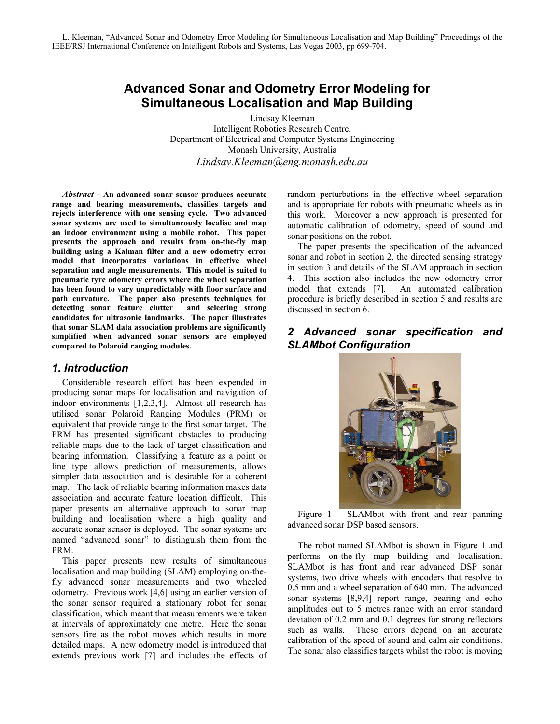# **Advanced Sonar and Odometry Error Modeling for Simultaneous Localisation and Map Building**

Lindsay Kleeman Intelligent Robotics Research Centre, Department of Electrical and Computer Systems Engineering Monash University, Australia *Lindsay.Kleeman@eng.monash.edu.au* 

*Abstract -* **An advanced sonar sensor produces accurate range and bearing measurements, classifies targets and rejects interference with one sensing cycle. Two advanced sonar systems are used to simultaneously localise and map an indoor environment using a mobile robot. This paper presents the approach and results from on-the-fly map building using a Kalman filter and a new odometry error model that incorporates variations in effective wheel separation and angle measurements. This model is suited to pneumatic tyre odometry errors where the wheel separation has been found to vary unpredictably with floor surface and path curvature. The paper also presents techniques for detecting sonar feature clutter and selecting strong candidates for ultrasonic landmarks. The paper illustrates that sonar SLAM data association problems are significantly simplified when advanced sonar sensors are employed compared to Polaroid ranging modules.** 

### *1. Introduction*

Considerable research effort has been expended in producing sonar maps for localisation and navigation of indoor environments [1,2,3,4]. Almost all research has utilised sonar Polaroid Ranging Modules (PRM) or equivalent that provide range to the first sonar target. The PRM has presented significant obstacles to producing reliable maps due to the lack of target classification and bearing information. Classifying a feature as a point or line type allows prediction of measurements, allows simpler data association and is desirable for a coherent map. The lack of reliable bearing information makes data association and accurate feature location difficult. This paper presents an alternative approach to sonar map building and localisation where a high quality and accurate sonar sensor is deployed. The sonar systems are named "advanced sonar" to distinguish them from the PRM.

This paper presents new results of simultaneous localisation and map building (SLAM) employing on-thefly advanced sonar measurements and two wheeled odometry. Previous work [4,6] using an earlier version of the sonar sensor required a stationary robot for sonar classification, which meant that measurements were taken at intervals of approximately one metre. Here the sonar sensors fire as the robot moves which results in more detailed maps. A new odometry model is introduced that extends previous work [7] and includes the effects of random perturbations in the effective wheel separation and is appropriate for robots with pneumatic wheels as in this work. Moreover a new approach is presented for automatic calibration of odometry, speed of sound and sonar positions on the robot.

The paper presents the specification of the advanced sonar and robot in section 2, the directed sensing strategy in section 3 and details of the SLAM approach in section 4. This section also includes the new odometry error model that extends [7]. An automated calibration procedure is briefly described in section 5 and results are discussed in section 6.

# *2 Advanced sonar specification and SLAMbot Configuration*



Figure 1 – SLAMbot with front and rear panning advanced sonar DSP based sensors.

The robot named SLAMbot is shown in Figure 1 and performs on-the-fly map building and localisation. SLAMbot is has front and rear advanced DSP sonar systems, two drive wheels with encoders that resolve to 0.5 mm and a wheel separation of 640 mm. The advanced sonar systems [8,9,4] report range, bearing and echo amplitudes out to 5 metres range with an error standard deviation of 0.2 mm and 0.1 degrees for strong reflectors such as walls. These errors depend on an accurate calibration of the speed of sound and calm air conditions. The sonar also classifies targets whilst the robot is moving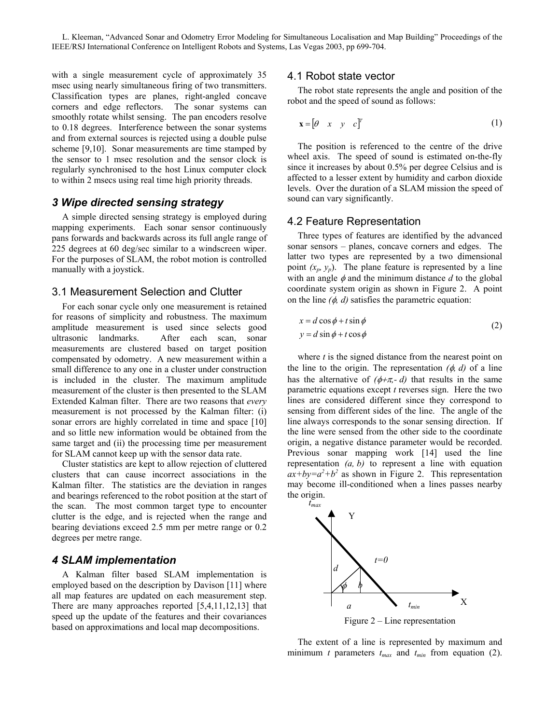with a single measurement cycle of approximately  $35 - 4.1$  Robot state vector msec using nearly simultaneous firing of two transmitters. Classification types are planes, right-angled concave corners and edge reflectors. The sonar systems can smoothly rotate whilst sensing. The pan encoders resolve to 0.18 degrees. Interference between the sonar systems and from external sources is rejected using a double pulse scheme [9,10]. Sonar measurements are time stamped by the sensor to 1 msec resolution and the sensor clock is regularly synchronised to the host Linux computer clock to within 2 msecs using real time high priority threads.

# sound can vary significantly. *3 Wipe directed sensing strategy*

A simple directed sensing strategy is employed during mapping experiments. Each sonar sensor continuously pans forwards and backwards across its full angle range of 225 degrees at 60 deg/sec similar to a windscreen wiper. For the purposes of SLAM, the robot motion is controlled manually with a joystick.

# 3.1 Measurement Selection and Clutter

For each sonar cycle only one measurement is retained for reasons of simplicity and robustness. The maximum amplitude measurement is used since selects good ultrasonic landmarks. After each scan, sonar measurements are clustered based on target position compensated by odometry. A new measurement within a small difference to any one in a cluster under construction is included in the cluster. The maximum amplitude measurement of the cluster is then presented to the SLAM Extended Kalman filter. There are two reasons that *every* measurement is not processed by the Kalman filter: (i) sonar errors are highly correlated in time and space [10] and so little new information would be obtained from the same target and (ii) the processing time per measurement for SLAM cannot keep up with the sensor data rate.

Cluster statistics are kept to allow rejection of cluttered clusters that can cause incorrect associations in the Kalman filter. The statistics are the deviation in ranges and bearings referenced to the robot position at the start of the scan. The most common target type to encounter clutter is the edge, and is rejected when the range and bearing deviations exceed 2.5 mm per metre range or 0.2 degrees per metre range.

# *4 SLAM implementation*

A Kalman filter based SLAM implementation is employed based on the description by Davison [11] where all map features are updated on each measurement step. There are many approaches reported [5,4,11,12,13] that speed up the update of the features and their covariances based on approximations and local map decompositions.

The robot state represents the angle and position of the robot and the speed of sound as follows:

$$
\mathbf{x} = \begin{bmatrix} \theta & x & y & c \end{bmatrix}^T \tag{1}
$$

The position is referenced to the centre of the drive wheel axis. The speed of sound is estimated on-the-fly since it increases by about 0.5% per degree Celsius and is affected to a lesser extent by humidity and carbon dioxide levels. Over the duration of a SLAM mission the speed of

# 4.2 Feature Representation

Three types of features are identified by the advanced sonar sensors – planes, concave corners and edges. The latter two types are represented by a two dimensional point  $(x_p, y_p)$ . The plane feature is represented by a line with an angle  $\phi$  and the minimum distance  $d$  to the global coordinate system origin as shown in Figure 2. A point on the line *(*φ*, d)* satisfies the parametric equation:

$$
x = d\cos\phi + t\sin\phi
$$
  
\n
$$
y = d\sin\phi + t\cos\phi
$$
\n(2)

where *t* is the signed distance from the nearest point on the line to the origin. The representation  $(\phi, d)$  of a line has the alternative of  $(\phi + \pi, -d)$  that results in the same parametric equations except *t* reverses sign. Here the two lines are considered different since they correspond to sensing from different sides of the line. The angle of the line always corresponds to the sonar sensing direction. If the line were sensed from the other side to the coordinate origin, a negative distance parameter would be recorded. Previous sonar mapping work [14] used the line representation *(a, b)* to represent a line with equation  $ax+by=a^2+b^2$  as shown in Figure 2. This representation may become ill-conditioned when a lines passes nearby the origin.



The extent of a line is represented by maximum and minimum *t* parameters  $t_{max}$  and  $t_{min}$  from equation (2).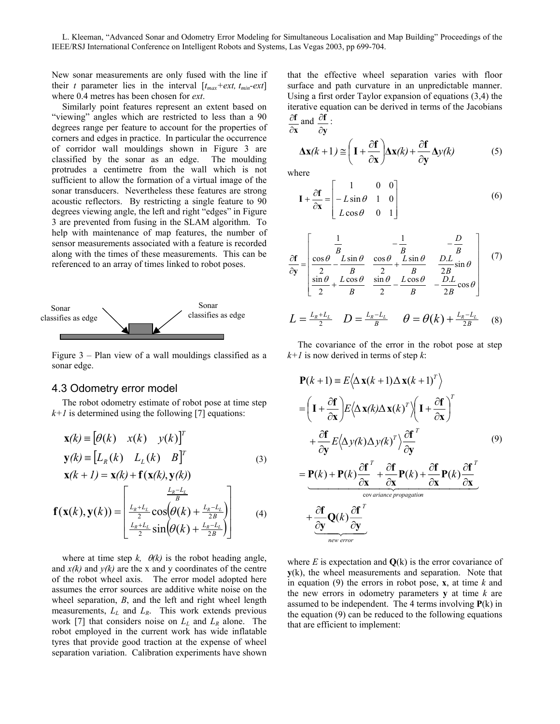New sonar measurements are only fused with the line if their *t* parameter lies in the interval  $[t_{max} + ext, t_{min}-ext]$ where 0.4 metres has been chosen for *ext*.

Similarly point features represent an extent based on "viewing" angles which are restricted to less than a 90 degrees range per feature to account for the properties of corners and edges in practice. In particular the occurrence of corridor wall mouldings shown in Figure 3 are classified by the sonar as an edge. The moulding protrudes a centimetre from the wall which is not sufficient to allow the formation of a virtual image of the sonar transducers. Nevertheless these features are strong acoustic reflectors. By restricting a single feature to 90 degrees viewing angle, the left and right "edges" in Figure 3 are prevented from fusing in the SLAM algorithm. To help with maintenance of map features, the number of sensor measurements associated with a feature is recorded along with the times of these measurements. This can be referenced to an array of times linked to robot poses.



Figure 3 – Plan view of a wall mouldings classified as a sonar edge.

#### 4.3 Odometry error model

The robot odometry estimate of robot pose at time step  $k+1$  is determined using the following [7] equations:

$$
\mathbf{x}(k) \equiv \begin{bmatrix} \theta(k) & x(k) & y(k) \end{bmatrix}^T
$$
  
\n
$$
\mathbf{y}(k) \equiv \begin{bmatrix} L_R(k) & L_L(k) & B \end{bmatrix}^T
$$
  
\n
$$
\mathbf{x}(k+1) = \mathbf{x}(k) + \mathbf{f}(\mathbf{x}(k), \mathbf{y}(k))
$$
\n(3)

$$
\mathbf{f}(\mathbf{x}(k), \mathbf{y}(k)) = \begin{bmatrix} \frac{L_R - L_L}{B} \\ \frac{L_R + L_L}{2} \cos\left(\theta(k) + \frac{L_R - L_L}{2B}\right) \\ \frac{L_R + L_L}{2} \sin\left(\theta(k) + \frac{L_R - L_L}{2B}\right) \end{bmatrix}
$$
(4)

where at time step  $k$ ,  $\theta(k)$  is the robot heading angle, and  $x(k)$  and  $y(k)$  are the x and y coordinates of the centre of the robot wheel axis. The error model adopted here assumes the error sources are additive white noise on the wheel separation, *B*, and the left and right wheel length measurements, *LL* and *LR*. This work extends previous work [7] that considers noise on  $L<sub>L</sub>$  and  $L<sub>R</sub>$  alone. The robot employed in the current work has wide inflatable tyres that provide good traction at the expense of wheel separation variation. Calibration experiments have shown

that the effective wheel separation varies with floor surface and path curvature in an unpredictable manner. Using a first order Taylor expansion of equations (3,4) the iterative equation can be derived in terms of the Jacobians *<u>f***</del>** and **<u>***f***</u>** :</u>

$$
\frac{\partial f}{\partial x}
$$
 and  $\frac{\partial f}{\partial y}$ 

$$
\Delta \mathbf{x}(k+1) \approx \left( \mathbf{I} + \frac{\partial \mathbf{f}}{\partial \mathbf{x}} \right) \Delta \mathbf{x}(k) + \frac{\partial \mathbf{f}}{\partial \mathbf{y}} \Delta y(k)
$$
 (5)

where

$$
\mathbf{I} + \frac{\partial \mathbf{f}}{\partial \mathbf{x}} = \begin{bmatrix} 1 & 0 & 0 \\ -L\sin\theta & 1 & 0 \\ L\cos\theta & 0 & 1 \end{bmatrix}
$$
 (6)

$$
\frac{\partial \mathbf{f}}{\partial \mathbf{y}} = \begin{bmatrix} \frac{1}{B} & -\frac{1}{B} & -\frac{D}{B} \\ \frac{\cos \theta}{2} & \frac{L \sin \theta}{B} & \frac{\cos \theta}{2} + \frac{L \sin \theta}{B} & \frac{D.L}{2B} \sin \theta \\ \frac{\sin \theta}{2} + \frac{L \cos \theta}{B} & \frac{\sin \theta}{2} - \frac{L \cos \theta}{B} & -\frac{D.L}{2B} \cos \theta \end{bmatrix} (7)
$$

$$
L = \frac{L_R + L_L}{2} \quad D = \frac{L_R - L_L}{B} \quad \theta = \theta(k) + \frac{L_R - L_L}{2B} \quad (8)
$$

The covariance of the error in the robot pose at step *k+1* is now derived in terms of step *k*:

$$
\mathbf{P}(k+1) = E\langle \Delta \mathbf{x}(k+1) \Delta \mathbf{x}(k+1)^{T} \rangle
$$
  
\n
$$
= \left( \mathbf{I} + \frac{\partial \mathbf{f}}{\partial \mathbf{x}} \right) E\langle \Delta \mathbf{x}(k) \Delta \mathbf{x}(k)^{T} \rangle \left( \mathbf{I} + \frac{\partial \mathbf{f}}{\partial \mathbf{x}} \right)^{T}
$$
  
\n
$$
+ \frac{\partial \mathbf{f}}{\partial \mathbf{y}} E\langle \Delta y(k) \Delta y(k)^{T} \rangle \frac{\partial \mathbf{f}}{\partial \mathbf{y}}^{T}
$$
  
\n
$$
= \underbrace{\mathbf{P}(k) + \mathbf{P}(k) \frac{\partial \mathbf{f}}{\partial \mathbf{x}}^{T} + \frac{\partial \mathbf{f}}{\partial \mathbf{x}} \mathbf{P}(k) + \frac{\partial \mathbf{f}}{\partial \mathbf{x}} \mathbf{P}(k) \frac{\partial \mathbf{f}}{\partial \mathbf{x}}^{T}}_{\text{covariance propagation}}
$$
  
\n
$$
+ \underbrace{\frac{\partial \mathbf{f}}{\partial \mathbf{y}} \mathbf{Q}(k) \frac{\partial \mathbf{f}}{\partial \mathbf{y}}^{T}}_{\text{new error}}
$$

where  $E$  is expectation and  $Q(k)$  is the error covariance of **y**(k), the wheel measurements and separation. Note that in equation (9) the errors in robot pose, **x**, at time *k* and the new errors in odometry parameters **y** at time *k* are assumed to be independent. The 4 terms involving **P**(k) in the equation (9) can be reduced to the following equations that are efficient to implement: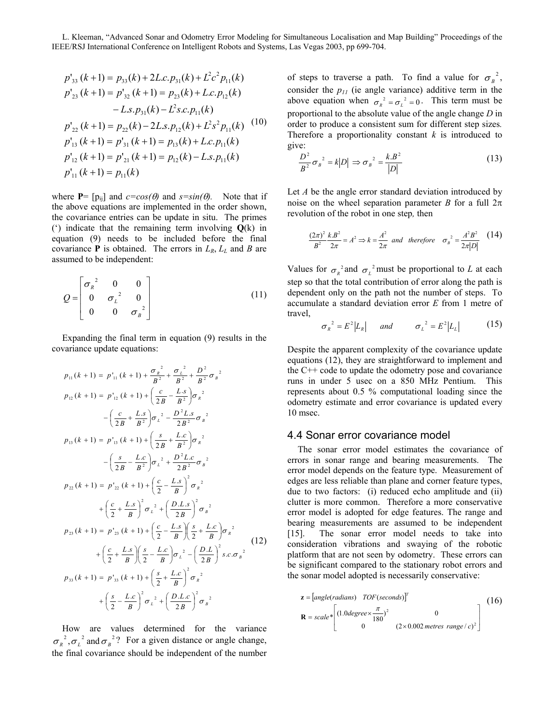$$
p'_{33}(k+1) = p_{33}(k) + 2L.c.p_{31}(k) + L^2c^2 p_{11}(k)
$$
  
\n
$$
p'_{23}(k+1) = p'_{32}(k+1) = p_{23}(k) + L.c.p_{12}(k)
$$
  
\n
$$
-L.s.p_{31}(k) - L^2s.c.p_{11}(k)
$$
  
\n
$$
p'_{22}(k+1) = p_{22}(k) - 2L.s.p_{12}(k) + L^2s^2 p_{11}(k)
$$
  
\n
$$
p'_{13}(k+1) = p'_{31}(k+1) = p_{13}(k) + L.c.p_{11}(k)
$$
  
\n
$$
p'_{12}(k+1) = p'_{21}(k+1) = p_{12}(k) - L.s.p_{11}(k)
$$
  
\n
$$
p'_{11}(k+1) = p_{11}(k)
$$

where **P**=  $[p_{ii}]$  and  $c = cos(\theta)$  and  $s = sin(\theta)$ . Note that if the above equations are implemented in the order shown, the covariance entries can be update in situ. The primes (') indicate that the remaining term involving **Q**(k) in equation (9) needs to be included before the final covariance **P** is obtained. The errors in  $L_R$ ,  $L_L$  and *B* are assumed to be independent:

$$
Q = \begin{bmatrix} \sigma_R^{-2} & 0 & 0 \\ 0 & \sigma_L^{-2} & 0 \\ 0 & 0 & \sigma_B^{-2} \end{bmatrix}
$$
 (11)

Expanding the final term in equation (9) results in the covariance update equations:

$$
p_{11}(k + 1) = p'_{11}(k + 1) + \frac{\sigma_R^2}{B^2} + \frac{\sigma_L^2}{B^2} + \frac{D^2}{B^2}\sigma_B^2
$$
  
\n
$$
p_{12}(k + 1) = p'_{12}(k + 1) + \left(\frac{c}{2B} - \frac{Ls}{B^2}\right)\sigma_R^2
$$
  
\n
$$
-\left(\frac{c}{2B} + \frac{Ls}{B^2}\right)\sigma_L^2 - \frac{D^2Ls}{2B^2}\sigma_B^2
$$
  
\n
$$
p_{13}(k + 1) = p'_{13}(k + 1) + \left(\frac{s}{2B} + \frac{Lc}{B^2}\right)\sigma_R^2
$$
  
\n
$$
-\left(\frac{s}{2B} - \frac{Lc}{B^2}\right)\sigma_L^2 + \frac{D^2Lc}{2B^2}\sigma_B^2
$$
  
\n
$$
p_{22}(k + 1) = p'_{22}(k + 1) + \left(\frac{c}{2} - \frac{Ls}{B}\right)^2\sigma_R^2
$$
  
\n
$$
+\left(\frac{c}{2} + \frac{Ls}{B}\right)^2\sigma_L^2 + \left(\frac{D.Ls}{2B}\right)^2\sigma_B^2
$$
  
\n
$$
p_{23}(k + 1) = p'_{23}(k + 1) + \left(\frac{c}{2} - \frac{Ls}{B}\right)\left(\frac{s}{2} + \frac{Lc}{B}\right)\sigma_R^2
$$
  
\n
$$
+\left(\frac{c}{2} + \frac{Ls}{B}\right)\left(\frac{s}{2} - \frac{Lc}{B}\right)\sigma_L^2 - \left(\frac{D.L}{2B}\right)^2 s.c.\sigma_B^2
$$
  
\n
$$
p_{33}(k + 1) = p'_{33}(k + 1) + \left(\frac{s}{2} + \frac{Lc}{B}\right)^2\sigma_R^2
$$
  
\n
$$
+\left(\frac{s}{2} - \frac{Lc}{B}\right)^2\sigma_L^2 + \left(\frac{D.L.c}{2B}\right)^2\sigma_R^2
$$
  
\n
$$
+\left(\frac{s}{2} - \frac{Lc}{B}\right)^2\sigma_L^2 + \left(\frac{D.L.c}{2B}\right)^2\sigma_R^2
$$

How are values determined for the variance  $\sigma_R^2$ ,  $\sigma_L^2$  and  $\sigma_B^2$ ? For a given distance or angle change, the final covariance should be independent of the number

of steps to traverse a path. To find a value for  $\sigma_B^2$ , consider the  $p_{11}$  (ie angle variance) additive term in the above equation when  $\sigma_R^2 = \sigma_L^2 = 0$ . This term must be proportional to the absolute value of the angle change *D* in order to produce a consistent sum for different step sizes*.*  Therefore a proportionality constant *k* is introduced to give:

$$
\frac{D^2}{B^2} {\sigma_B}^2 = k|D| \Rightarrow {\sigma_B}^2 = \frac{k.B^2}{|D|} \tag{13}
$$

Let *A* be the angle error standard deviation introduced by noise on the wheel separation parameter *B* for a full  $2\pi$ revolution of the robot in one step*,* then

$$
\frac{(2\pi)^2}{B^2} \frac{k B^2}{2\pi} = A^2 \Rightarrow k = \frac{A^2}{2\pi} \text{ and therefore } \sigma_B^2 = \frac{A^2 B^2}{2\pi |D|} \tag{14}
$$

Values for  $\sigma_R^2$  and  $\sigma_L^2$  must be proportional to *L* at each step so that the total contribution of error along the path is dependent only on the path not the number of steps. To accumulate a standard deviation error *E* from 1 metre of travel,

$$
\sigma_R^2 = E^2 |L_R| \quad \text{and} \quad \sigma_L^2 = E^2 |L_L| \quad (15)
$$

Despite the apparent complexity of the covariance update equations (12), they are straightforward to implement and the C++ code to update the odometry pose and covariance runs in under 5 usec on a 850 MHz Pentium. This represents about 0.5 % computational loading since the odometry estimate and error covariance is updated every 10 msec.

### 4.4 Sonar error covariance model

The sonar error model estimates the covariance of errors in sonar range and bearing measurements. The error model depends on the feature type. Measurement of edges are less reliable than plane and corner feature types, due to two factors: (i) reduced echo amplitude and (ii) clutter is more common. Therefore a more conservative error model is adopted for edge features. The range and bearing measurements are assumed to be independent [15]. The sonar error model needs to take into consideration vibrations and swaying of the robotic platform that are not seen by odometry. These errors can be significant compared to the stationary robot errors and the sonar model adopted is necessarily conservative:

$$
\mathbf{z} = [angle(radians) \quad TOF(seconds)]^T
$$
\n
$$
\mathbf{R} = scale * \begin{bmatrix} (1.0 \text{degree} \times \frac{\pi}{180})^2 & 0\\ 0 & (2 \times 0.002 \text{ metres range}/c)^2 \end{bmatrix}
$$
\n(16)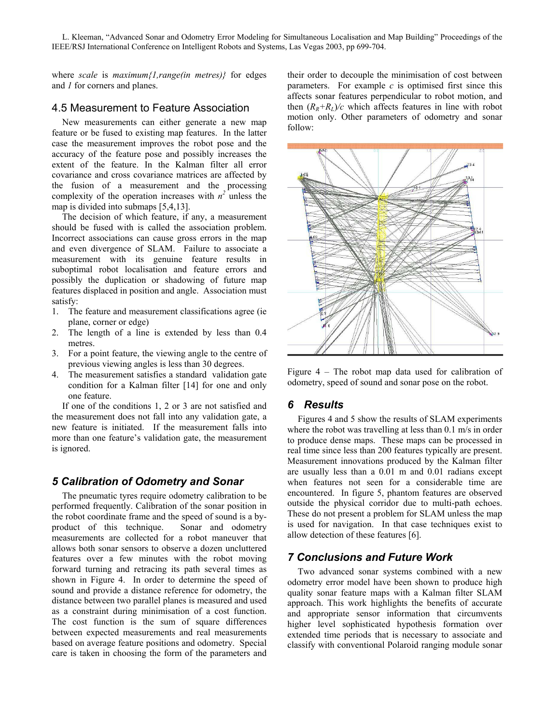where *scale* is *maximum{1,range(in metres)}* for edges and *1* for corners and planes.

# 4.5 Measurement to Feature Association

New measurements can either generate a new map feature or be fused to existing map features. In the latter case the measurement improves the robot pose and the accuracy of the feature pose and possibly increases the extent of the feature. In the Kalman filter all error covariance and cross covariance matrices are affected by the fusion of a measurement and the processing complexity of the operation increases with  $n^2$  unless the map is divided into submaps [5,4,13].

The decision of which feature, if any, a measurement should be fused with is called the association problem. Incorrect associations can cause gross errors in the map and even divergence of SLAM. Failure to associate a measurement with its genuine feature results in suboptimal robot localisation and feature errors and possibly the duplication or shadowing of future map features displaced in position and angle. Association must satisfy:

- 1. The feature and measurement classifications agree (ie plane, corner or edge)
- 2. The length of a line is extended by less than 0.4 metres.
- 3. For a point feature, the viewing angle to the centre of previous viewing angles is less than 30 degrees.
- 4. The measurement satisfies a standard validation gate condition for a Kalman filter [14] for one and only one feature.

If one of the conditions 1, 2 or 3 are not satisfied and the measurement does not fall into any validation gate, a new feature is initiated. If the measurement falls into more than one feature's validation gate, the measurement is ignored.

# *5 Calibration of Odometry and Sonar*

The pneumatic tyres require odometry calibration to be performed frequently. Calibration of the sonar position in the robot coordinate frame and the speed of sound is a byproduct of this technique. Sonar and odometry measurements are collected for a robot maneuver that allows both sonar sensors to observe a dozen uncluttered features over a few minutes with the robot moving forward turning and retracing its path several times as shown in Figure 4. In order to determine the speed of sound and provide a distance reference for odometry, the distance between two parallel planes is measured and used as a constraint during minimisation of a cost function. The cost function is the sum of square differences between expected measurements and real measurements based on average feature positions and odometry. Special care is taken in choosing the form of the parameters and

their order to decouple the minimisation of cost between parameters. For example  $c$  is optimised first since this affects sonar features perpendicular to robot motion, and then  $(R_R+R_L)/c$  which affects features in line with robot motion only. Other parameters of odometry and sonar follow:



Figure 4 – The robot map data used for calibration of odometry, speed of sound and sonar pose on the robot.

# *6 Results*

Figures 4 and 5 show the results of SLAM experiments where the robot was travelling at less than 0.1 m/s in order to produce dense maps. These maps can be processed in real time since less than 200 features typically are present. Measurement innovations produced by the Kalman filter are usually less than a 0.01 m and 0.01 radians except when features not seen for a considerable time are encountered. In figure 5, phantom features are observed outside the physical corridor due to multi-path echoes. These do not present a problem for SLAM unless the map is used for navigation. In that case techniques exist to allow detection of these features [6].

# *7 Conclusions and Future Work*

Two advanced sonar systems combined with a new odometry error model have been shown to produce high quality sonar feature maps with a Kalman filter SLAM approach. This work highlights the benefits of accurate and appropriate sensor information that circumvents higher level sophisticated hypothesis formation over extended time periods that is necessary to associate and classify with conventional Polaroid ranging module sonar